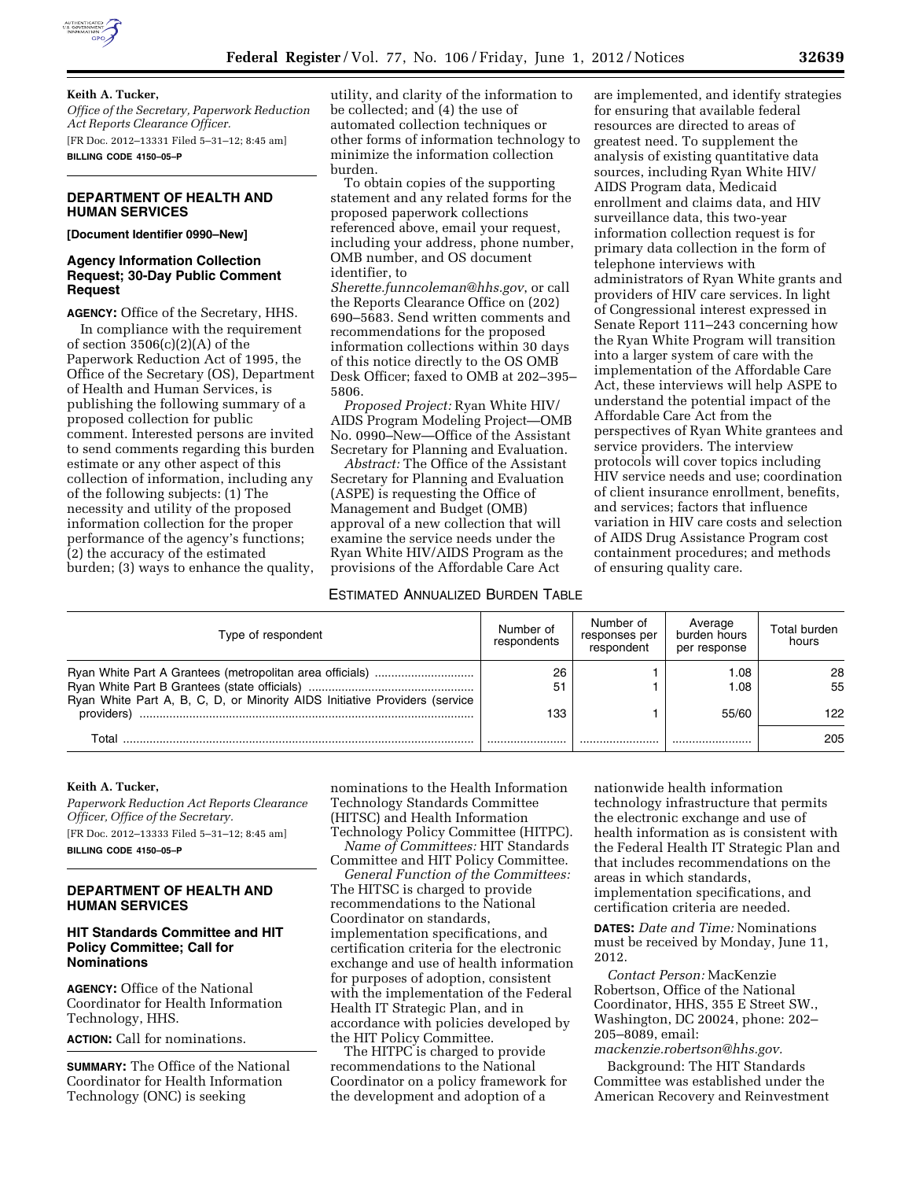

#### **Keith A. Tucker,**

*Office of the Secretary, Paperwork Reduction Act Reports Clearance Officer.*  [FR Doc. 2012–13331 Filed 5–31–12; 8:45 am] **BILLING CODE 4150–05–P** 

## **DEPARTMENT OF HEALTH AND HUMAN SERVICES**

#### **[Document Identifier 0990–New]**

# **Agency Information Collection Request; 30-Day Public Comment Request**

**AGENCY:** Office of the Secretary, HHS.

In compliance with the requirement of section  $3506(c)(2)(A)$  of the Paperwork Reduction Act of 1995, the Office of the Secretary (OS), Department of Health and Human Services, is publishing the following summary of a proposed collection for public comment. Interested persons are invited to send comments regarding this burden estimate or any other aspect of this collection of information, including any of the following subjects: (1) The necessity and utility of the proposed information collection for the proper performance of the agency's functions; (2) the accuracy of the estimated burden; (3) ways to enhance the quality,

utility, and clarity of the information to be collected; and (4) the use of automated collection techniques or other forms of information technology to minimize the information collection burden.

To obtain copies of the supporting statement and any related forms for the proposed paperwork collections referenced above, email your request, including your address, phone number, OMB number, and OS document identifier, to

*[Sherette.funncoleman@hhs.gov](mailto:Sherette.funncoleman@hhs.gov)*, or call the Reports Clearance Office on (202) 690–5683. Send written comments and recommendations for the proposed information collections within 30 days of this notice directly to the OS OMB Desk Officer; faxed to OMB at 202–395– 5806.

*Proposed Project:* Ryan White HIV/ AIDS Program Modeling Project—OMB No. 0990–New—Office of the Assistant Secretary for Planning and Evaluation.

*Abstract:* The Office of the Assistant Secretary for Planning and Evaluation (ASPE) is requesting the Office of Management and Budget (OMB) approval of a new collection that will examine the service needs under the Ryan White HIV/AIDS Program as the provisions of the Affordable Care Act

## ESTIMATED ANNUALIZED BURDEN TABLE

are implemented, and identify strategies for ensuring that available federal resources are directed to areas of greatest need. To supplement the analysis of existing quantitative data sources, including Ryan White HIV/ AIDS Program data, Medicaid enrollment and claims data, and HIV surveillance data, this two-year information collection request is for primary data collection in the form of telephone interviews with administrators of Ryan White grants and providers of HIV care services. In light of Congressional interest expressed in Senate Report 111–243 concerning how the Ryan White Program will transition into a larger system of care with the implementation of the Affordable Care Act, these interviews will help ASPE to understand the potential impact of the Affordable Care Act from the perspectives of Ryan White grantees and service providers. The interview protocols will cover topics including HIV service needs and use; coordination of client insurance enrollment, benefits, and services; factors that influence variation in HIV care costs and selection of AIDS Drug Assistance Program cost containment procedures; and methods of ensuring quality care.

| Type of respondent                                                         | Number of<br>respondents | Number of<br>responses per<br>respondent | Average<br>burden hours<br>per response | Total burden<br>hours |
|----------------------------------------------------------------------------|--------------------------|------------------------------------------|-----------------------------------------|-----------------------|
| Ryan White Part A, B, C, D, or Minority AIDS Initiative Providers (service | 26<br>51                 |                                          | 1.08<br>1.08                            | 28<br>55              |
| providers)                                                                 | 133                      |                                          | 55/60                                   | 122.                  |
| Total                                                                      |                          |                                          |                                         | 205                   |

# **Keith A. Tucker,**

*Paperwork Reduction Act Reports Clearance Officer, Office of the Secretary.*  [FR Doc. 2012–13333 Filed 5–31–12; 8:45 am] **BILLING CODE 4150–05–P** 

## **DEPARTMENT OF HEALTH AND HUMAN SERVICES**

#### **HIT Standards Committee and HIT Policy Committee; Call for Nominations**

**AGENCY:** Office of the National Coordinator for Health Information Technology, HHS.

**ACTION:** Call for nominations.

**SUMMARY:** The Office of the National Coordinator for Health Information Technology (ONC) is seeking

nominations to the Health Information Technology Standards Committee (HITSC) and Health Information

Technology Policy Committee (HITPC). *Name of Committees:* HIT Standards Committee and HIT Policy Committee.

*General Function of the Committees:*  The HITSC is charged to provide recommendations to the National Coordinator on standards, implementation specifications, and certification criteria for the electronic exchange and use of health information for purposes of adoption, consistent with the implementation of the Federal Health IT Strategic Plan, and in accordance with policies developed by the HIT Policy Committee.

The HITPC is charged to provide recommendations to the National Coordinator on a policy framework for the development and adoption of a

nationwide health information technology infrastructure that permits the electronic exchange and use of health information as is consistent with the Federal Health IT Strategic Plan and that includes recommendations on the areas in which standards, implementation specifications, and certification criteria are needed.

**DATES:** *Date and Time:* Nominations must be received by Monday, June 11, 2012.

*Contact Person:* MacKenzie Robertson, Office of the National Coordinator, HHS, 355 E Street SW., Washington, DC 20024, phone: 202– 205–8089, email:

*[mackenzie.robertson@hhs.gov.](mailto:mackenzie.robertson@hhs.gov)* 

Background: The HIT Standards Committee was established under the American Recovery and Reinvestment